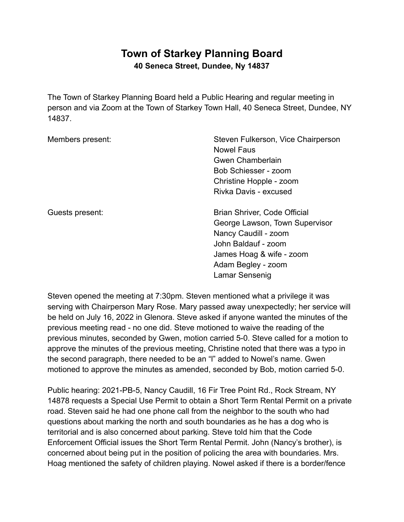## **Town of Starkey Planning Board 40 Seneca Street, Dundee, Ny 14837**

The Town of Starkey Planning Board held a Public Hearing and regular meeting in person and via Zoom at the Town of Starkey Town Hall, 40 Seneca Street, Dundee, NY 14837.

| Members present: | Steven Fulkerson, Vice Chairperson<br><b>Nowel Faus</b><br>Gwen Chamberlain<br>Bob Schiesser - zoom<br>Christine Hopple - zoom<br>Rivka Davis - excused                           |
|------------------|-----------------------------------------------------------------------------------------------------------------------------------------------------------------------------------|
| Guests present:  | Brian Shriver, Code Official<br>George Lawson, Town Supervisor<br>Nancy Caudill - zoom<br>John Baldauf - zoom<br>James Hoag & wife - zoom<br>Adam Begley - zoom<br>Lamar Sensenig |

Steven opened the meeting at 7:30pm. Steven mentioned what a privilege it was serving with Chairperson Mary Rose. Mary passed away unexpectedly; her service will be held on July 16, 2022 in Glenora. Steve asked if anyone wanted the minutes of the previous meeting read - no one did. Steve motioned to waive the reading of the previous minutes, seconded by Gwen, motion carried 5-0. Steve called for a motion to approve the minutes of the previous meeting, Christine noted that there was a typo in the second paragraph, there needed to be an "l" added to Nowel's name. Gwen motioned to approve the minutes as amended, seconded by Bob, motion carried 5-0.

Public hearing: 2021-PB-5, Nancy Caudill, 16 Fir Tree Point Rd., Rock Stream, NY 14878 requests a Special Use Permit to obtain a Short Term Rental Permit on a private road. Steven said he had one phone call from the neighbor to the south who had questions about marking the north and south boundaries as he has a dog who is territorial and is also concerned about parking. Steve told him that the Code Enforcement Official issues the Short Term Rental Permit. John (Nancy's brother), is concerned about being put in the position of policing the area with boundaries. Mrs. Hoag mentioned the safety of children playing. Nowel asked if there is a border/fence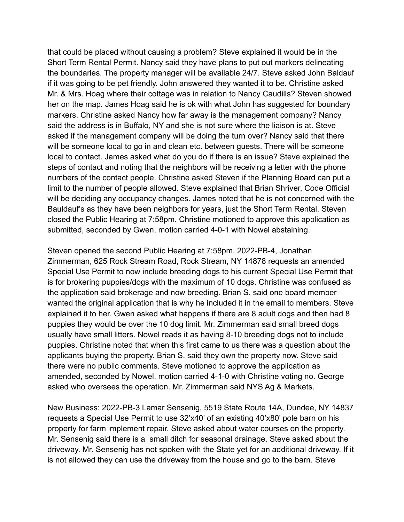that could be placed without causing a problem? Steve explained it would be in the Short Term Rental Permit. Nancy said they have plans to put out markers delineating the boundaries. The property manager will be available 24/7. Steve asked John Baldauf if it was going to be pet friendly. John answered they wanted it to be. Christine asked Mr. & Mrs. Hoag where their cottage was in relation to Nancy Caudills? Steven showed her on the map. James Hoag said he is ok with what John has suggested for boundary markers. Christine asked Nancy how far away is the management company? Nancy said the address is in Buffalo, NY and she is not sure where the liaison is at. Steve asked if the management company will be doing the turn over? Nancy said that there will be someone local to go in and clean etc. between guests. There will be someone local to contact. James asked what do you do if there is an issue? Steve explained the steps of contact and noting that the neighbors will be receiving a letter with the phone numbers of the contact people. Christine asked Steven if the Planning Board can put a limit to the number of people allowed. Steve explained that Brian Shriver, Code Official will be deciding any occupancy changes. James noted that he is not concerned with the Bauldauf's as they have been neighbors for years, just the Short Term Rental. Steven closed the Public Hearing at 7:58pm. Christine motioned to approve this application as submitted, seconded by Gwen, motion carried 4-0-1 with Nowel abstaining.

Steven opened the second Public Hearing at 7:58pm. 2022-PB-4, Jonathan Zimmerman, 625 Rock Stream Road, Rock Stream, NY 14878 requests an amended Special Use Permit to now include breeding dogs to his current Special Use Permit that is for brokering puppies/dogs with the maximum of 10 dogs. Christine was confused as the application said brokerage and now breeding. Brian S. said one board member wanted the original application that is why he included it in the email to members. Steve explained it to her. Gwen asked what happens if there are 8 adult dogs and then had 8 puppies they would be over the 10 dog limit. Mr. Zimmerman said small breed dogs usually have small litters. Nowel reads it as having 8-10 breeding dogs not to include puppies. Christine noted that when this first came to us there was a question about the applicants buying the property. Brian S. said they own the property now. Steve said there were no public comments. Steve motioned to approve the application as amended, seconded by Nowel, motion carried 4-1-0 with Christine voting no. George asked who oversees the operation. Mr. Zimmerman said NYS Ag & Markets.

New Business: 2022-PB-3 Lamar Sensenig, 5519 State Route 14A, Dundee, NY 14837 requests a Special Use Permit to use 32'x40' of an existing 40'x80' pole barn on his property for farm implement repair. Steve asked about water courses on the property. Mr. Sensenig said there is a small ditch for seasonal drainage. Steve asked about the driveway. Mr. Sensenig has not spoken with the State yet for an additional driveway. If it is not allowed they can use the driveway from the house and go to the barn. Steve